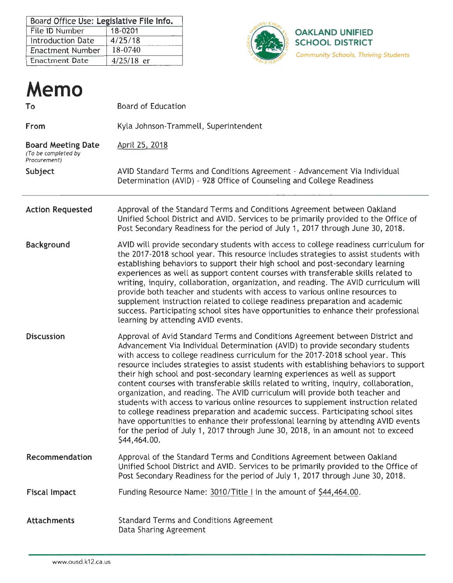| Board Office Use: Legislative File Info. |              |  |  |  |  |
|------------------------------------------|--------------|--|--|--|--|
| File ID Number                           | 18-0201      |  |  |  |  |
| <b>Introduction Date</b>                 | 4/25/18      |  |  |  |  |
| Enactment Number                         | $18 - 0740$  |  |  |  |  |
| <b>Enactment Date</b>                    | $4/25/18$ er |  |  |  |  |



| Memo                                                             |                                                                                                                                                                                                                                                                                                                                                                                                                                                                                                                                                                                                                                                                                                                                                                                                                                                                                                                                                                          |
|------------------------------------------------------------------|--------------------------------------------------------------------------------------------------------------------------------------------------------------------------------------------------------------------------------------------------------------------------------------------------------------------------------------------------------------------------------------------------------------------------------------------------------------------------------------------------------------------------------------------------------------------------------------------------------------------------------------------------------------------------------------------------------------------------------------------------------------------------------------------------------------------------------------------------------------------------------------------------------------------------------------------------------------------------|
| To                                                               | <b>Board of Education</b>                                                                                                                                                                                                                                                                                                                                                                                                                                                                                                                                                                                                                                                                                                                                                                                                                                                                                                                                                |
| From                                                             | Kyla Johnson-Trammell, Superintendent                                                                                                                                                                                                                                                                                                                                                                                                                                                                                                                                                                                                                                                                                                                                                                                                                                                                                                                                    |
| <b>Board Meeting Date</b><br>(To be completed by<br>Procurement) | April 25, 2018                                                                                                                                                                                                                                                                                                                                                                                                                                                                                                                                                                                                                                                                                                                                                                                                                                                                                                                                                           |
| Subject                                                          | AVID Standard Terms and Conditions Agreement - Advancement Via Individual<br>Determination (AVID) - 928 Office of Counseling and College Readiness                                                                                                                                                                                                                                                                                                                                                                                                                                                                                                                                                                                                                                                                                                                                                                                                                       |
| <b>Action Requested</b>                                          | Approval of the Standard Terms and Conditions Agreement between Oakland<br>Unified School District and AVID. Services to be primarily provided to the Office of<br>Post Secondary Readiness for the period of July 1, 2017 through June 30, 2018.                                                                                                                                                                                                                                                                                                                                                                                                                                                                                                                                                                                                                                                                                                                        |
| Background                                                       | AVID will provide secondary students with access to college readiness curriculum for<br>the 2017-2018 school year. This resource includes strategies to assist students with<br>establishing behaviors to support their high school and post-secondary learning<br>experiences as well as support content courses with transferable skills related to<br>writing, inquiry, collaboration, organization, and reading. The AVID curriculum will<br>provide both teacher and students with access to various online resources to<br>supplement instruction related to college readiness preparation and academic<br>success. Participating school sites have opportunities to enhance their professional<br>learning by attending AVID events.                                                                                                                                                                                                                              |
| <b>Discussion</b>                                                | Approval of Avid Standard Terms and Conditions Agreement between District and<br>Advancement Via Individual Determination (AVID) to provide secondary students<br>with access to college readiness curriculum for the 2017-2018 school year. This<br>resource includes strategies to assist students with establishing behaviors to support<br>their high school and post-secondary learning experiences as well as support<br>content courses with transferable skills related to writing, inquiry, collaboration,<br>organization, and reading. The AVID curriculum will provide both teacher and<br>students with access to various online resources to supplement instruction related<br>to college readiness preparation and academic success. Participating school sites<br>have opportunities to enhance their professional learning by attending AVID events<br>for the period of July 1, 2017 through June 30, 2018, in an amount not to exceed<br>\$44,464.00. |
| Recommendation                                                   | Approval of the Standard Terms and Conditions Agreement between Oakland<br>Unified School District and AVID. Services to be primarily provided to the Office of<br>Post Secondary Readiness for the period of July 1, 2017 through June 30, 2018.                                                                                                                                                                                                                                                                                                                                                                                                                                                                                                                                                                                                                                                                                                                        |
| <b>Fiscal Impact</b>                                             | Funding Resource Name: 3010/Title I in the amount of \$44,464.00.                                                                                                                                                                                                                                                                                                                                                                                                                                                                                                                                                                                                                                                                                                                                                                                                                                                                                                        |
| <b>Attachments</b>                                               | <b>Standard Terms and Conditions Agreement</b><br>Data Sharing Agreement                                                                                                                                                                                                                                                                                                                                                                                                                                                                                                                                                                                                                                                                                                                                                                                                                                                                                                 |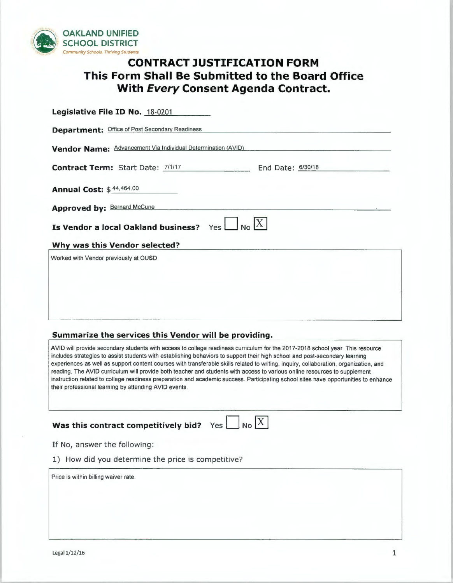

# **CONTRACT JUSTIFICATION FORM This Form Shall Be Submitted to the Board Office With Every Consent Agenda Contract.**

| Legislative File ID No. 18-0201                               |
|---------------------------------------------------------------|
| <b>Department: Office of Post Secondary Readiness</b>         |
| Vendor Name: Advancement Via Individual Determination (AVID)  |
| <b>Contract Term: Start Date: 7/1/17</b><br>End Date: 6/30/18 |
| <b>Annual Cost: \$44,464.00</b>                               |
| Approved by: Bernard McCune                                   |
| Is Vendor a local Oakland business?<br>Yes l                  |
| Why was this Vendor selected?                                 |
| Worked with Vendor previously at OUSD                         |
|                                                               |
|                                                               |
|                                                               |

# **Summarize the services this Vendor will be providing.**

AVID will provide secondary students with access to college readiness curriculum for the 2017-2018 school year. This resource includes strategies to assist students with establishing behaviors to support their high school and post-secondary learning experiences as well as support content courses with transferable skills related to writing, inquiry, collaboration, organization, and reading. The AVID curriculum will provide both teacher and students with access to various online resources to supplement instruction related to college readiness preparation and academic success. Participating school sites have opportunities to enhance their professional learning by attending AVID events.

# **Was this contract competitively bid?**  $Yes$  No  $\boxed{X}$

|--|

If No, answer the following:

|  |  |  |  |  |  |  | 1) How did you determine the price is competitive? |  |
|--|--|--|--|--|--|--|----------------------------------------------------|--|
|--|--|--|--|--|--|--|----------------------------------------------------|--|

Price is within billing waiver rate.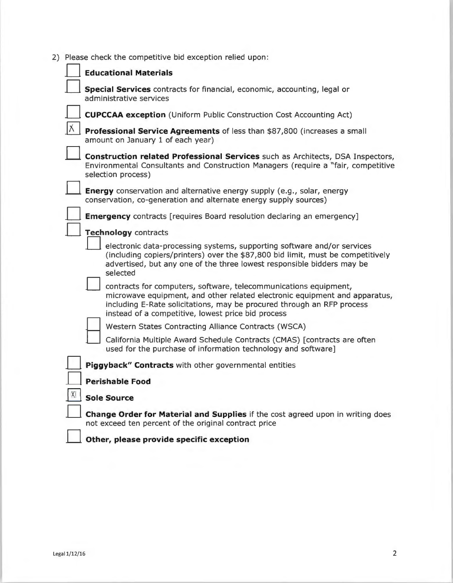2) Please check the competitive bid exception relied upon:

| <b>Educational Materials</b>                                                                                                                                                                                                                                                   |
|--------------------------------------------------------------------------------------------------------------------------------------------------------------------------------------------------------------------------------------------------------------------------------|
| Special Services contracts for financial, economic, accounting, legal or<br>administrative services                                                                                                                                                                            |
| <b>CUPCCAA exception</b> (Uniform Public Construction Cost Accounting Act)                                                                                                                                                                                                     |
| Professional Service Agreements of less than \$87,800 (increases a small<br>amount on January 1 of each year)                                                                                                                                                                  |
| Construction related Professional Services such as Architects, DSA Inspectors,<br>Environmental Consultants and Construction Managers (require a "fair, competitive<br>selection process)                                                                                      |
| <b>Energy</b> conservation and alternative energy supply (e.g., solar, energy<br>conservation, co-generation and alternate energy supply sources)                                                                                                                              |
| <b>Emergency</b> contracts [requires Board resolution declaring an emergency]                                                                                                                                                                                                  |
| Technology contracts                                                                                                                                                                                                                                                           |
| electronic data-processing systems, supporting software and/or services<br>(including copiers/printers) over the \$87,800 bid limit, must be competitively<br>advertised, but any one of the three lowest responsible bidders may be<br>selected                               |
| contracts for computers, software, telecommunications equipment,<br>microwave equipment, and other related electronic equipment and apparatus,<br>including E-Rate solicitations, may be procured through an RFP process<br>instead of a competitive, lowest price bid process |
| Western States Contracting Alliance Contracts (WSCA)                                                                                                                                                                                                                           |
| California Multiple Award Schedule Contracts (CMAS) [contracts are often<br>used for the purchase of information technology and software]                                                                                                                                      |
| Piggyback" Contracts with other governmental entities                                                                                                                                                                                                                          |
| <b>Perishable Food</b>                                                                                                                                                                                                                                                         |
| <b>Sole Source</b>                                                                                                                                                                                                                                                             |
| Change Order for Material and Supplies if the cost agreed upon in writing does<br>not exceed ten percent of the original contract price                                                                                                                                        |
| Other, please provide specific exception                                                                                                                                                                                                                                       |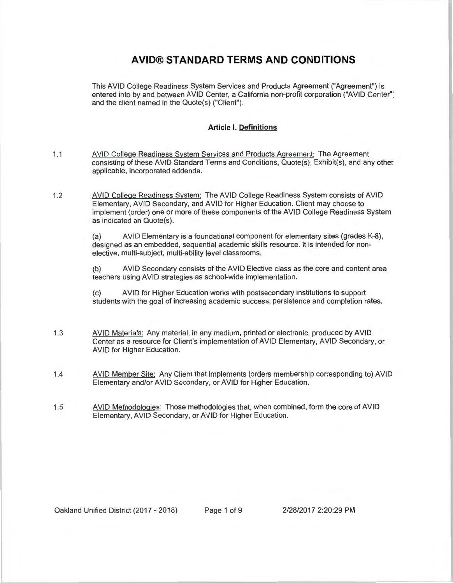# **AVID® STANDARD TERMS AND CONDITIONS**

This AVID College Readiness System Services and Products Agreement ("Agreement") is entered into by and between AVID Center, a California non-profit corporation ("AVID Center": and the client named in the Quote(s) ("Client").

# **Article I. Definitions**

- 1.1 AVID College Readiness System Services and Products Agreement: The Agreement consisting of these AVID Standard Terms and Conditions, Quote(s), Exhibit(s), and any other applicable, incorporated addenda.
- 1.2 AVID College Readiness System: The AVID College Readiness System consists of AVID Elementary, AVID Secondary, and AVID for Higher Education. Client may choose to implement (order) one or more of these components of the AVID College Readiness System as indicated on Quote(s).

(a) AVID Elementary is a foundational component for elementary sites (grades K-8), designed as an embedded, sequential academic skills resource. It is intended for nonelective, multi-subject, multi-ability level classrooms.

(b) AVID Secondary consists of the AVID Elective class as the core and content area teachers using AVID strategies as school-wide implementation.

(c) AVID for Higher Education works with postsecondary institutions to support students with the goal of increasing academic success, persistence and completion rates.

- 1.3 AVID Materials: Any material, in any medium, printed or electronic, produced by AVID Center as a resource for Client's implementation of AVID Elementary, AVID Secondary, or AVID for Higher Education.
- 1.4 AVID Member Site: Any Client that implements (orders membership corresponding to) AVID Elementary and/or AVID Secondary, or AVID for Higher Education.
- 1.5 AVID Methodologies: Those methodologies that, when combined, form the core of AVID Elementary, AVID Secondary, or AVID for Higher Education.

Oakland Unified District (2017 - 2018) Page 1 of 9 2/28/2017 2:20:29 PM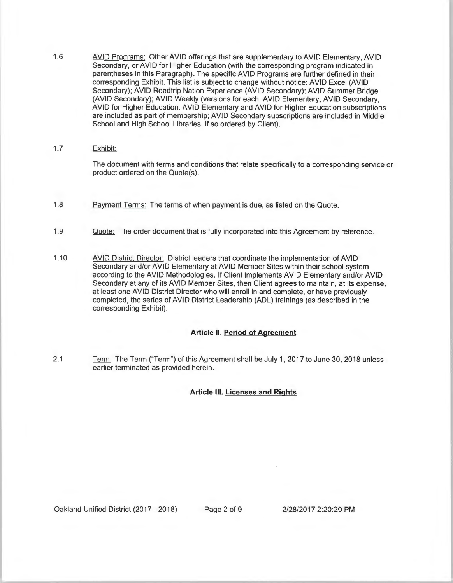- 1.6 AVID Programs: Other AVID offerings that are supplementary to AVID Elementary, AVID Secondary, or AVID for Higher Education (with the corresponding program indicated in parentheses in this Paragraph). The specific AVID Programs are further defined in their corresponding Exhibit. This list is subject to change without notice: AVID Excel (AVID Secondary); AVID Roadtrip Nation Experience (AVID Secondary); AVID Summer Bridge (AVID Secondary); AVID Weekly (versions for each: AVID Elementary, AVID Secondary, AVID for Higher Education. AVID Elementary and AVID for Higher Education subscriptions are included as part of membership; AVID Secondary subscriptions are included in Middle School and High School Libraries, if so ordered by Client).
- 1.7 Exhibit:

The document with terms and conditions that relate specifically to a corresponding service or product ordered on the Quote(s).

- 1.8 Payment Terms: The terms of when payment is due, as listed on the Quote.
- 1.9 Quote: The order document that is fully incorporated into this Agreement by reference.
- 1.10 AVID District Director: District leaders that coordinate the implementation of AVID Secondary and/or AVID Elementary at AVID Member Sites within their school system according to the AVID Methodologies. If Client implements AVID Elementary and/or AVID Secondary at any of its AVID Member Sites, then Client agrees to maintain, at its expense, at least one AVID District Director who will enroll in and complete, or have previously completed , the series of AVID District Leadership (ADL) trainings (as described in the corresponding Exhibit).

# **Article II. Period of Agreement**

2.1 Term: The Term ("Term") of this Agreement shall be July 1, 2017 to June 30, 2018 unless earlier terminated as provided herein.

#### **Article Ill. Licenses and Rights**

Oakland Unified District (2017 - 2018) Page 2 of 9 2/28/2017 2:20:29 PM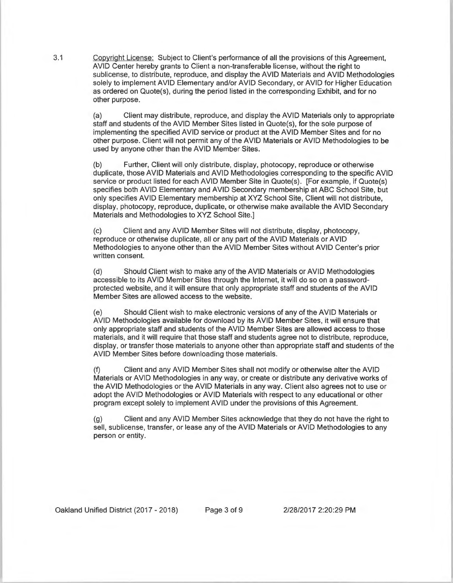3.1 Copyright License: Subject to Client's performance of all the provisions of this Agreement, AVID Center hereby grants to Client a non-transferable license, without the right to sublicense, to distribute, reproduce, and display the AVID Materials and AVID Methodologies solely to implement AVID Elementary and/or AVID Secondary, or AVID for Higher Education as ordered on Quote(s), during the period listed in the corresponding Exhibit, and for no other purpose.

> (a) Client may distribute, reproduce, and display the AVID Materials only to appropriate staff and students of the AVID Member Sites listed in Quote(s), for the sole purpose of implementing the specified AVID service or product at the AVID Member Sites and for no other purpose. Client will not permit any of the AVID Materials or AVID Methodologies to be used by anyone other than the AVID Member Sites.

> (b) Further, Client will only distribute, display, photocopy, reproduce or otherwise duplicate, those AVID Materials and AVID Methodologies corresponding to the specific AVID service or product listed for each AVID Member Site in Quote(s). [For example, if Quote(s) specifies both AVID Elementary and AVID Secondary membership at ABC School Site, but only specifies AVID Elementary membership at XYZ School Site, Client will not distribute, display, photocopy, reproduce, duplicate, or otherwise make available the AVID Secondary Materials and Methodologies to XYZ School Site.]

(c) Client and any AVID Member Sites will not distribute, display, photocopy, reproduce or otherwise duplicate, all or any part of the AVID Materials or AVID Methodologies to anyone other than the AVID Member Sites without AVID Center's prior written consent.

(d) Should Client wish to make any of the AVID Materials or AVID Methodologies accessible to its AVID Member Sites through the Internet, it will do so on a passwordprotected website, and it will ensure that only appropriate staff and students of the AVID Member Sites are allowed access to the website.

(e) Should Client wish to make electronic versions of any of the AVID Materials or AVID Methodologies available for download by its AVID Member Sites, it will ensure that only appropriate staff and students of the AVID Member Sites are allowed access to those materials, and it will require that those staff and students agree not to distribute, reproduce, display, or transfer those materials to anyone other than appropriate staff and students of the AVID Member Sites before downloading those materials.

(f) Client and any AVID Member Sites shall not modify or otherwise alter the AVID Materials or AVID Methodologies in any way, or create or distribute any derivative works of the AVID Methodologies or the AVID Materials in any way. Client also agrees not to use or adopt the AVID Methodologies or AVID Materials with respect to any educational or other program except solely to implement AVID under the provisions of this Agreement.

Client and any AVID Member Sites acknowledge that they do not have the right to sell, sublicense, transfer, or lease any of the AVID Materials or AVID Methodologies to any person or entity.

Oakland Unified District (2017 - 2018) Page 3 of 9 2/28/2017 2:20:29 PM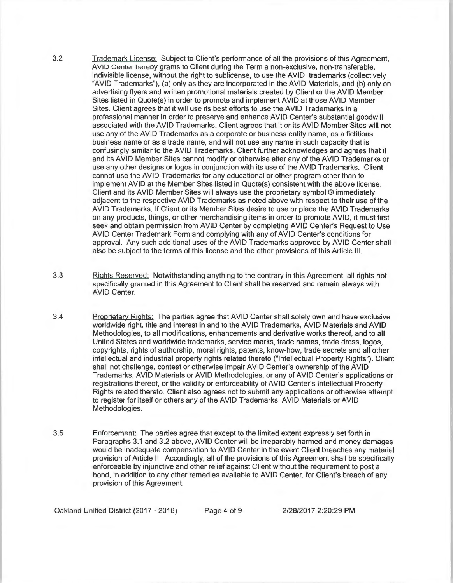3.2 Trademark License: Subject to Client's performance of all the provisions of this Agreement, AVID Center hereby grants to Client during the Term a non-exclusive, non-transferable, indivisible license, without the right to sublicense, to use the AVID trademarks (collectively "AVID Trademarks"), (a) only as they are incorporated in the AVID Materials, and (b) only on advertising flyers and written promotional materials created by Client or the AVID Member Sites listed in Quote(s) in order to promote and implement AVID at those AVID Member Sites. Client agrees that it will use its best efforts to use the AVID Trademarks in a professional manner in order to preserve and enhance AVID Center's substantial goodwill associated with the AVID Trademarks. Client agrees that it or its AVID Member Sites will not use any of the AVID Trademarks as a corporate or business entity name, as a fictitious business name or as a trade name, and will not use any name in such capacity that is confusingly similar to the AVID Trademarks. Client further acknowledges and agrees that it and its AVID Member Sites cannot modify or otherwise alter any of the AVID Trademarks or use any other designs or logos in conjunction with its use of the AVID Trademarks. Client cannot use the AVID Trademarks for any educational or other program other than to implement AVID at the Member Sites listed in Quote(s) consistent with the above license. Client and its AVID Member Sites will always use the proprietary symbol ® immediately adjacent to the respective AVID Trademarks as noted above with respect to their use of the AVID Trademarks. If Client or its Member Sites desire to use or place the AVID Trademarks on any products, things, or other merchandising items in order to promote AVID, it must first seek and obtain permission from AVID Center by completing AVID Center's Request to Use AVID Center Trademark Form and complying with any of AVID Center's conditions for approval. Any such additional uses of the AVID Trademarks approved by AVID Center shall also be subject to the terms of this license and the other provisions of this Article Ill.

3.3 Rights Reserved: Notwithstanding anything to the contrary in this Agreement, all rights not specifically granted in this Agreement to Client shall be reserved and remain always with AVID Center.

3.4 Proprietary Rights: The parties agree that AVID Center shall solely own and have exclusive worldwide right, title and interest in and to the AVID Trademarks, AVID Materials and AVID Methodologies, to all modifications, enhancements and derivative works thereof, and to all United States and worldwide trademarks, service marks, trade names, trade dress, logos, copyrights, rights of authorship, moral rights, patents, know-how, trade secrets and all other intellectual and industrial property rights related thereto ("Intellectual Property Rights"). Client shall not challenge, contest or otherwise impair AVID Center's ownership of the AVID Trademarks , AVID Materials or AVID Methodologies, or any of AVID Center's applications or registrations thereof, or the validity or enforceability of AVID Center's Intellectual Property Rights related thereto. Client also agrees not to submit any applications or otherwise attempt to register for itself or others any of the AVID Trademarks, AVID Materials or AVID Methodologies .

3.5 Enforcement: The parties agree that except to the limited extent expressly set forth in Paragraphs 3.1 and 3.2 above, AVID Center will be irreparably harmed and money damages would be inadequate compensation to AVID Center in the event Client breaches any material provision of Article Ill. Accordingly, all of the provisions of this Agreement shall be specifically enforceable by injunctive and other relief against Client without the requirement to post a bond, in addition to any other remedies available to AVID Center, for Client's breach of any provision of this Agreement.

Oakland Unified District (2017 - 2018) Page 4 of 9 2/28/2017 2:20:29 PM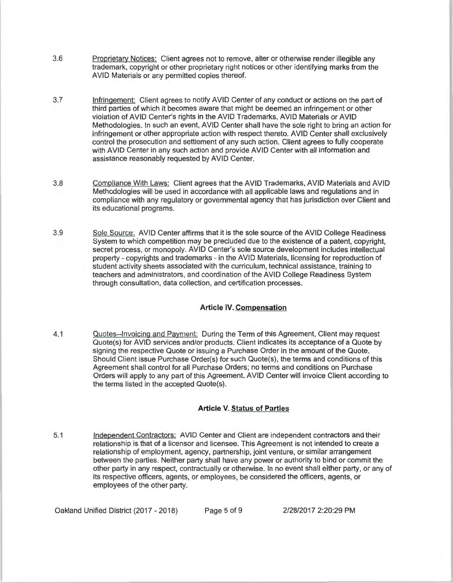- 3.6 Proprietary Notices: Client agrees not to remove, alter or otherwise render illegible any trademark, copyright or other proprietary right notices or other identifying marks from the AVID Materials or any permitted copies thereof.
- 3.7 Infringement: Client agrees to notify AVID Center of any conduct or actions on the part of third parties of which it becomes aware that might be deemed an infringement or other violation of AVID Center's rights in the AVID Trademarks, AVID Materials or AVID Methodologies. In such an event, AVID Center shall have the sole right to bring an action for infringement or other appropriate action with respect thereto. AVID Center shall exclusively control the prosecution and settlement of any such action. Client agrees to fully cooperate with AVID Center in any such action and provide AVID Center with all information and assistance reasonably requested by AVID Center.
- 3.8 Compliance With Laws: Client agrees that the AVID Trademarks, AVID Materials and AVID Methodologies will be used in accordance with all applicable laws and regulations and in compliance with any regulatory or governmental agency that has jurisdiction over Client and its educational programs.
- 3.9 Sole Source: AVID Center affirms that it is the sole source of the AVID College Readiness System to which competition may be precluded due to the existence of a patent, copyright, secret process, or monopoly. AVID Center's sole source development includes intellectual property - copyrights and trademarks - in the AVID Materials, licensing for reproduction of student activity sheets associated with the curriculum, technical assistance, training to teachers and administrators, and coordination of the AVID College Readiness System through consultation, data collection, and certification processes.

# **Article IV. Compensation**

4.1 Quotes--Invoicing and Payment: During the Term of this Agreement, Client may request Quote(s) for AVID services and/or products. Client indicates its acceptance of a Quote by signing the respective Quote or issuing a Purchase Order in the amount of the Quote. Should Client issue Purchase Order(s) for such Quote(s), the terms and conditions of this Agreement shall control for all Purchase Orders; no terms and conditions on Purchase Orders will apply to any part of this Agreement. AVID Center will invoice Client according to the terms listed in the accepted Quote(s).

# **Article V. Status of Parties**

5.1 Independent Contractors: AVID Center and Client are independent contractors and their relationship is that of a licensor and licensee. This Agreement is not intended to create a relationship of employment, agency, partnership, joint venture, or similar arrangement between the parties. Neither party shall have any power or authority to bind or commit the other party in any respect, contractually or otherwise. In no event shall either party, or any of its respective officers, agents, or employees, be considered the officers , agents, or employees of the other party.

Oakland Unified District (2017 - 2018) Page 5 of 9 2/28/2017 2:20:29 PM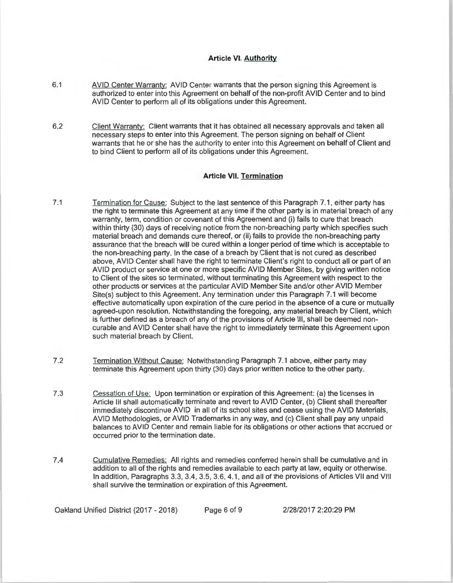# **Article VI. Authority**

- 6.1 AVID Center Warranty: AVID Center warrants that the person signing this Agreement is authorized to enter into this Agreement on behalf of the non-profit AVID Center and to bind AVID Center to perform all of its obligations under this Agreement.
- 6.2 Client Warranty: Client warrants that it has obtained all necessary approvals and taken all necessary steps to enter into this Agreement. The person signing on behalf of Client warrants that he or she has the authority to enter into this Agreement on behalf of Client and to bind Client to perform all of its obligations under this Agreement.

#### **Article VII. Termination**

- 7.1 Termination for Cause: Subject to the last sentence of this Paragraph 7.1, either party has the right to terminate this Agreement at any time if the other party is in material breach of any warranty, term, condition or covenant of this Agreement and (i) fails to cure that breach within thirty (30) days of receiving notice from the non-breaching party which specifies such material breach and demands cure thereof, or (ii) fails to provide the non-breaching party assurance that the breach will be cured within a longer period of time which is acceptable to the non-breaching party. In the case of a breach by Client that is not cured as described above, AVID Center shall have the right to terminate Client's right to conduct all or part of an AVID product or service at one or more specific AVID Member Sites, by giving written notice to Client of the sites so terminated, without terminating this Agreement with respect to the other products or services at the particular AVID Member Site and/or other AVID Member Site(s) subject to this Agreement. Any termination under this Paragraph 7.1 will become effective automatically upon expiration of the cure period in the absence of a cure or mutually agreed-upon resolution. Notwithstanding the foregoing, any material breach by Client, which is further defined as a breach of any of the provisions of Article 111, shall be deemed noncurable and AVID Center shall have the right to immediately terminate this Agreement upon such material breach by Client.
- 7 .2 Termination Without Cause: Notwithstanding Paragraph 7.1 above, either party may terminate this Agreement upon thirty (30) days prior written notice to the other party.
- 7.3 Cessation of Use: Upon termination or expiration of this Agreement: (a) the licenses in Article Ill shall automatically terminate and revert to AVID Center, (b) Client shall thereafter immediately discontinue AVID in all of its school sites and cease using the AVID Materials, AVID Methodologies, or AVID Trademarks in any way, and (c) Client shall pay any unpaid balances to AVID Center and remain liable for its obligations or other actions that accrued or occurred prior to the termination date.
- 7.4 Cumulative Remedies: All rights and remedies conferred herein shall be cumulative and in addition to all of the rights and remedies available to each party at law, equity or otherwise. In addition, Paragraphs 3.3, 3.4, 3.5, 3.6, 4.1, and all of the provisions of Articles VII and VIII shall survive the termination or expiration of this Agreement.

Oakland Unified District (2017 - 2018) Page 6 of 9 2/28/2017 2:20:29 PM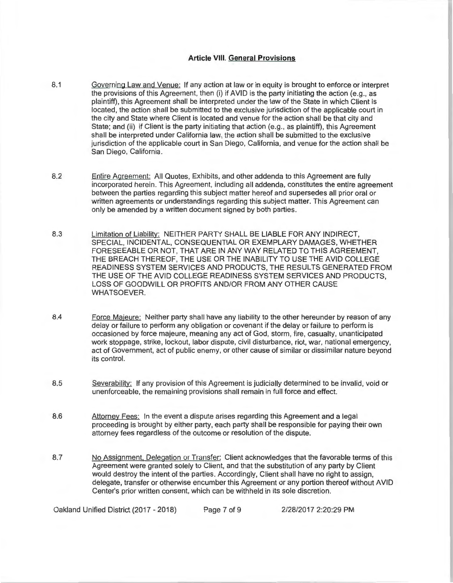# **Article VIII. General Provisions**

- 8.1 Governing Law and Venue: If any action at law or in equity is brought to enforce or interpret the provisions of this Agreement, then (i) if AVID is the party initiating the action (e.g., as plaintiff), this Agreement shall be interpreted under the law of the State in which Client is located, the action shall be submitted to the exclusive jurisdiction of the applicable court in the city and State where Client is located and venue for the action shall be that city and State; and (ii) if Client is the party initiating that action (e.g., as plaintiff), this Agreement shall be interpreted under California law, the action shall be submitted to the exclusive jurisdiction of the applicable court in San Diego, California , and venue for the action shall be San Diego, California.
- 8.2 Entire Agreement: All Quotes, Exhibits, and other addenda to this Agreement are fully incorporated herein. This Agreement, including all addenda, constitutes the entire agreement between the parties regarding this subject matter hereof and supersedes all prior oral or written agreements or understandings regarding this subject matter. This Agreement can only be amended by a written document signed by both parties.
- 8.3 Limitation of Liability: NEITHER PARTY SHALL BE LIABLE FOR ANY INDIRECT, SPECIAL, INCIDENTAL, CONSEQUENTIAL OR EXEMPLARY DAMAGES, WHETHER FORESEEABLE OR NOT, THAT ARE IN ANY WAY RELATED TO THIS AGREEMENT, THE BREACH THEREOF, THE USE OR THE INABILITY TO USE THE AVID COLLEGE READINESS SYSTEM SERVICES AND PRODUCTS, THE RESULTS GENERATED FROM THE USE OF THE AVID COLLEGE READINESS SYSTEM SERVICES AND PRODUCTS, LOSS OF GOODWILL OR PROFITS AND/OR FROM ANY OTHER CAUSE WHATSOEVER.
- 8.4 Force Majeure: Neither party shall have any liability to the other hereunder by reason of any delay or failure to perform any obligation or covenant if the delay or failure to perform is occasioned by force majeure, meaning any act of God, storm, fire, casualty, unanticipated work stoppage, strike, lockout, labor dispute, civil disturbance, riot, war, national emergency, act of Government, act of public enemy, or other cause of similar or dissimilar nature beyond its control.
- 8.5 Severability: If any provision of this Agreement is judicially determined to be invalid, void or unenforceable, the remaining provisions shall remain in full force and effect.
- 8.6 Attorney Fees: In the event a dispute arises regarding this Agreement and a legal proceeding is brought by either party, each party shall be responsible for paying their own attorney fees regardless of the outcome or resolution of the dispute.
- 8.7 No Assignment, Delegation or Transfer: Client acknowledges that the favorable terms of this Agreement were granted solely to Client, and that the substitution of any party by Client would destroy the intent of the parties. Accordingly, Client shall have no right to assign, delegate, transfer or otherwise encumber this Agreement or any portion thereof without AVID Center's prior written consent, which can be withheld in its sole discretion.

Oakland Unified District (2017 - 2018) Page 7 of 9 2/28/2017 2:20:29 PM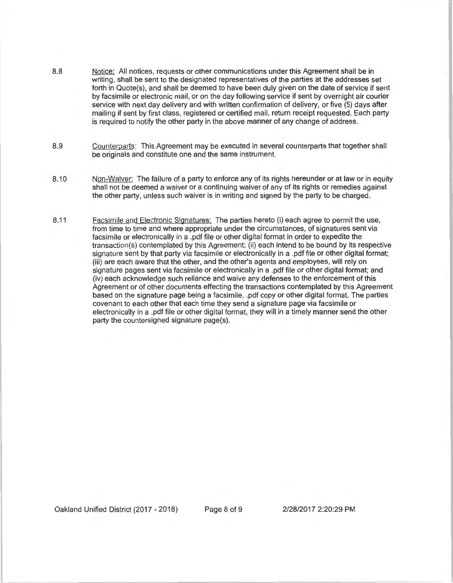- 8.8 Notice: All notices, requests or other communications under this Agreement shall be in writing, shall be sent to the designated representatives of the parties at the addresses set forth in Quote(s), and shall be deemed to have been duly given on the date of service if sent by facsimile or electronic mail, or on the day following service if sent by overnight air courier service with next day delivery and with written confirmation of delivery, or five (5) days after mailing if sent by first class, registered or certified mail, return receipt requested . Each party is required to notify the other party in the above manner of any change of address.
- 8.9 Counterparts: This Agreement may be executed in several counterparts that together shall be originals and constitute one and the same instrument.
- 8.10 Non-Waiver: The failure of a party to enforce any of its rights hereunder or at law or in equity shall not be deemed a waiver or a continuing waiver of any of its rights or remedies against the other party, unless such waiver is in writing and signed by the party to be charged .
- 8.11 Facsimile and Electronic Signatures: The parties hereto (i) each agree to permit the use, from time to time and where appropriate under the circumstances, of signatures sent via facsimile or electronically in a .pdf file or other digital format in order to expedite the transaction(s) contemplated by this Agreement; (ii) each intend to be bound by its respective signature sent by that party via facsimile or electronically in a .pdf file or other digital format; (iii) are each aware that the other, and the other's agents and employees, will rely on signature pages sent via facsimile or electronically in a .pdf file or other digital format; and (iv) each acknowledge such reliance and waive any defenses to the enforcement of this Agreement or of other documents effecting the transactions contemplated by this Agreement based on the signature page being a facsimile, .pdf copy or other digital format. The parties covenant to each other that each time they send a signature page via facsimile or electronically in a .pdf file or other digital format, they will in a timely manner send the other party the countersigned signature page(s).

Oakland Unified District (2017 - 2018) Page 8 of 9 2/28/2017 2:20:29 PM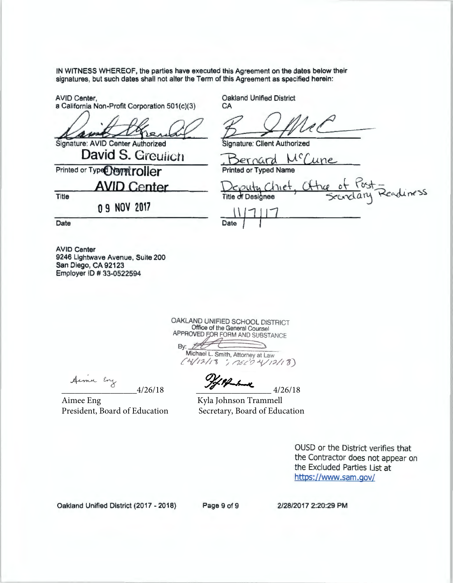IN WITNESS WHEREOF, the parties have executed this Agreement on the dates below their signatures, but such dates shall not alter the Term of this Agreement as specified herein: IN WITNESS WHEREOF, the parties have executed this Agreement on the dates below their<br>signatures, but such dates shall not alter the Term of this Agreement as specified herein:<br>AVID Center,<br>a California Non-Profit Corpora

AVID Center,<br>a California Non-Profit Corporation 501(c)(3)

**David S. Greulich** 

**AVID Center** 

**O 9 NOV 2017** 

Signature: AVID Center Authorized

**Printed or Type<sup>O</sup>Namitroller** 

**Cakland Unified District CA** 

Printed or Typed Nar

uty Chiet, Chine of Tost =<br>Designee 'scandary Readiness  $\frac{1111}{111}$ Date

Date

Title

AVID Center 9246 Lightwave Avenue, Suite 200 San Diego, CA 92123 Employer ID # 33-0522594

> OAKLAND UNIFIED SCHOOL DISTRICT Office of the General Counsel<br>APPROVED FOR FORM AND SUBSTANCE By: <del>FIGHT COLLECTION</del>  $C4/12/18$ ; (26<sup>2</sup>0 4/12/18)

/ Pf-har

 $-4/26/18$   $-4/26/18$   $4/26/18$ 

Aimee Eng Kyla Johnson Trammell

President, Board of Education Secretary, Board of Education

OUSD or the District verifies that the Contractor does not appear on the Excluded Parties List at https://www.sam.gov/

Oakland Unified District (2017 - 2018) Page 9 of 9 2/28/2017 2:20:29 PM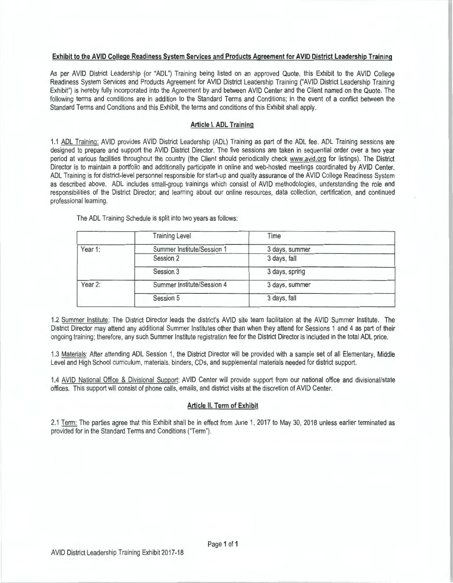#### **Exhibit to the AVID College Readiness System Services and Products Agreement for AVID District Leadership Training**

As per AVID District Leadership (or "AOL") Training being listed on an approved Quote, this Exhibit to the AVID College Readiness System Services and Products Agreement for AVID District Leadership Training ("AVID District Leadership Training Exhibit") is hereby fully incorporated into the Agreement by and between AVID Center and the Client named on the Quote. The following terms and conditions are in addition to the Standard Terms and Conditions; in the event of a conflict between the Standard Terms and Conditions and this Exhibit, the terms and conditions of this Exhibit shall apply.

#### **Article I. AOL Training**

1.1 AOL Training: AVID provides AVID District Leadership (AOL) Training as part of the AOL fee. AOL Training sessions are designed to prepare and support the AVID District Director. The five sessions are taken in sequential order over a two year period at various facilities throughout the country (the Client should periodically check www.avid.org for listings). The District Director is to maintain a portfolio and additionally participate in online and web-hosted meetings coordinated by AVID Center. AOL Training is for district-level personnel responsible for start-up and quality assurance of the AVID College Readiness System as described above. AOL includes small-group trainings which consist of AVID methodologies, understanding the role and responsibilities of the District Director; and learning about our online resources, data collection, certification, and continued professional learning.

The AOL Training Schedule is split into two years as follows:

| <b>Training Level</b>      | Time           |  |
|----------------------------|----------------|--|
| Summer Institute/Session 1 | 3 days, summer |  |
| Session 2                  | 3 days, fall   |  |
| Session 3                  | 3 days, spring |  |
| Summer Institute/Session 4 | 3 days, summer |  |
| Session 5                  | 3 days, fall   |  |
|                            |                |  |

1.2 Summer Institute: The District Director leads the district's AVID site team facilitation at the AVID Summer Institute. The District Director may attend any additional Summer Institutes other than when they attend for Sessions 1 and 4 as part of their ongoing training; therefore, any such Summer Institute registration fee for the District Director is included in the total AOL price.

1.3 Materials: After attending AOL Session 1, the District Director will be provided with a sample set of all Elementary, Middle Level and High School curriculum, materials, binders, CDs, and supplemental materials needed for district support.

1.4 AVID National Office & Divisional Support: AVID Center will provide support from our national office and divisional/state offices. This support will consist of phone calls, emails, and district visits at the discretion of AVID Center.

# **Article II. Term of Exhibit**

2.1 Term: The parties agree that this Exhibit shall be in effect from June 1, 2017 to May 30, 2018 unless earlier terminated as provided for in the Standard Terms and Conditions ("Term").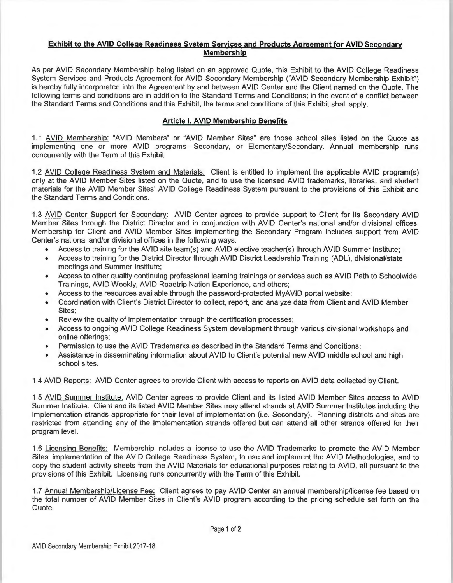# **Exhibit to the AVID College Readiness System Services and Products Agreement for AVID Secondary Membership**

As per AVID Secondary Membership being listed on an approved Quote, this Exhibit to the AVID College Readiness System Services and Products Agreement for AVID Secondary Membership ("AVID Secondary Membership Exhibit") is hereby fully incorporated into the Agreement by and between AVID Center and the Client named on the Quote. The following terms and conditions are in addition to the Standard Terms and Conditions; in the event of a conflict between the Standard Terms and Conditions and this Exhibit, the terms and conditions of this Exhibit shall apply.

# **Article I. AVID Membership Benefits**

1.1 AVID Membership: "AVID Members" or "AVID Member Sites" are those school sites listed on the Quote as implementing one or more AVID programs-Secondary, or Elementary/Secondary. Annual membership runs concurrently with the Term of this Exhibit.

1.2 AVID College Readiness System and Materials: Client is entitled to implement the applicable AVID program(s) only at the AVID Member Sites listed on the Quote, and to use the licensed AVID trademarks, libraries, and student materials for the AVID Member Sites' AVID College Readiness System pursuant to the provisions of this Exhibit and the Standard Terms and Conditions.

1.3 AVID Center Support for Secondary: AVID Center agrees to provide support to Client for its Secondary AVID Member Sites through the District Director and in conjunction with AVID Center's national and/or divisional offices. Membership for Client and AVID Member Sites implementing the Secondary Program includes support from AVID Center's national and/or divisional offices in the following ways:

- Access to training for the AVID site team(s) and AVID elective teacher(s) through AVID Summer Institute;
- Access to training for the District Director through AVID District Leadership Training (AOL), divisional/state meetings and Summer Institute;
- Access to other quality continuing professional learning trainings or services such as AVID Path to Schoolwide Trainings, AVID Weekly, AVID Roadtrip Nation Experience, and others;
- Access to the resources available through the password-protected MyAVID portal website;
- Coordination with Client's District Director to collect, report, and analyze data from Client and AVID Member Sites;
- Review the quality of implementation through the certification processes;
- Access to ongoing AVID College Readiness System development through various divisional workshops and online offerings;
- Permission to use the AVID Trademarks as described in the Standard Terms and Conditions;
- Assistance in disseminating information about AVID to Client's potential new AVID middle school and high school sites.

1.4 AVID Reports: AVID Center agrees to provide Client with access to reports on AVID data collected by Client.

1.5 AVID Summer Institute: AVID Center agrees to provide Client and its listed AVID Member Sites access to AVID Summer Institute. Client and its listed AVID Member Sites may attend strands at AVID Summer Institutes including the Implementation strands appropriate for their level of implementation (i.e. Secondary). Planning districts and sites are restricted from attending any of the Implementation strands offered but can attend all other strands offered for their program level.

1.6 Licensing Benefits: Membership includes a license to use the AVID Trademarks to promote the AVID Member Sites' implementation of the AVID College Readiness System, to use and implement the AVID Methodologies, and to copy the student activity sheets from the AVID Materials for educational purposes relating to AVID, all pursuant to the provisions of this Exhibit. Licensing runs concurrently with the Term of this Exhibit.

1.7 Annual Membership/License Fee: Client agrees to pay AVID Center an annual membership/license fee based on the total number of AVID Member Sites in Client's AVID program according to the pricing schedule set forth on the Quote.